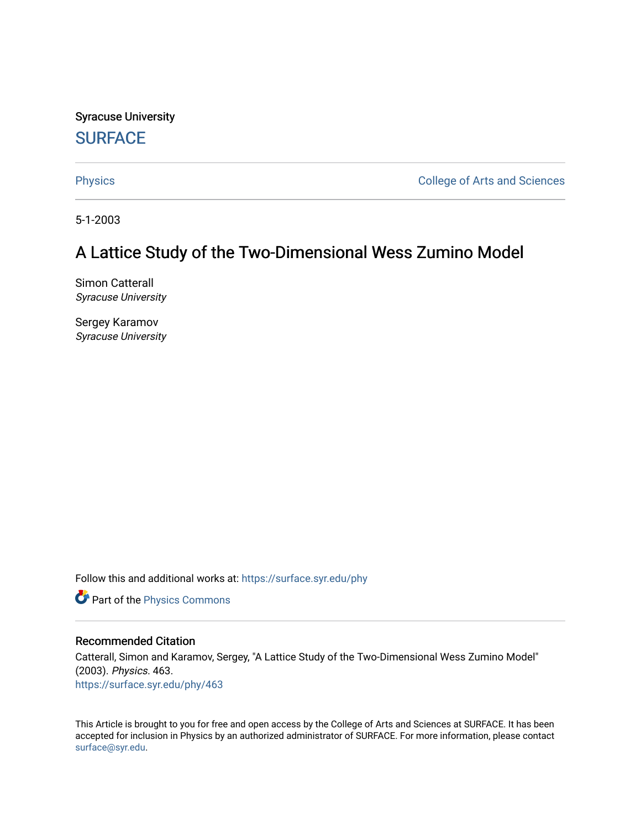Syracuse University **[SURFACE](https://surface.syr.edu/)** 

[Physics](https://surface.syr.edu/phy) **College of Arts and Sciences** 

5-1-2003

# A Lattice Study of the Two-Dimensional Wess Zumino Model

Simon Catterall Syracuse University

Sergey Karamov Syracuse University

Follow this and additional works at: [https://surface.syr.edu/phy](https://surface.syr.edu/phy?utm_source=surface.syr.edu%2Fphy%2F463&utm_medium=PDF&utm_campaign=PDFCoverPages)

Part of the [Physics Commons](http://network.bepress.com/hgg/discipline/193?utm_source=surface.syr.edu%2Fphy%2F463&utm_medium=PDF&utm_campaign=PDFCoverPages)

#### Recommended Citation

Catterall, Simon and Karamov, Sergey, "A Lattice Study of the Two-Dimensional Wess Zumino Model" (2003). Physics. 463. [https://surface.syr.edu/phy/463](https://surface.syr.edu/phy/463?utm_source=surface.syr.edu%2Fphy%2F463&utm_medium=PDF&utm_campaign=PDFCoverPages)

This Article is brought to you for free and open access by the College of Arts and Sciences at SURFACE. It has been accepted for inclusion in Physics by an authorized administrator of SURFACE. For more information, please contact [surface@syr.edu.](mailto:surface@syr.edu)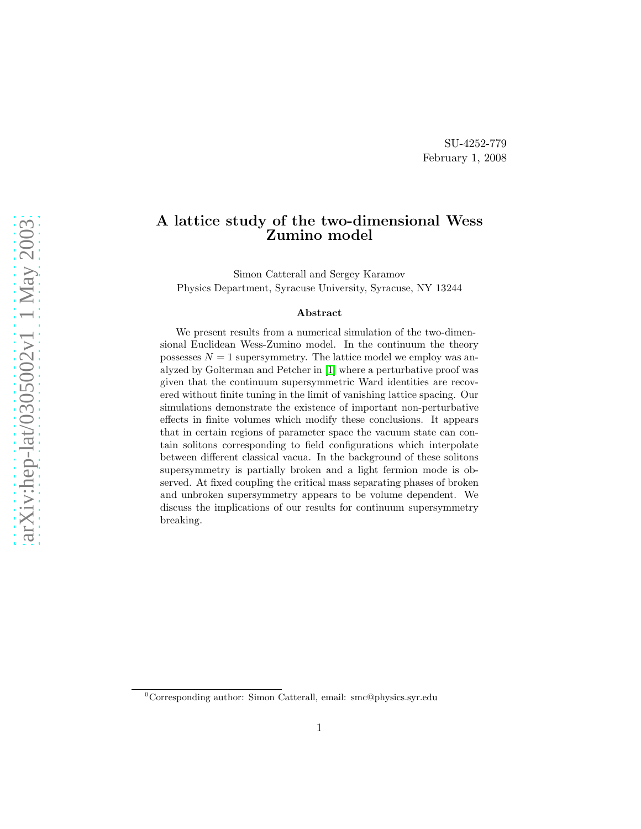### A lattice study of the two-dimensional Wess Zumino model

Simon Catterall and Sergey Karamov Physics Department, Syracuse University, Syracuse, NY 13244

#### Abstract

We present results from a numerical simulation of the two-dimensional Euclidean Wess-Zumino model. In the continuum the theory possesses  $N = 1$  supersymmetry. The lattice model we employ was analyzed by Golterman and Petcher in [\[1\]](#page-19-0) where a perturbative proof was given that the continuum supersymmetric Ward identities are recovered without finite tuning in the limit of vanishing lattice spacing. Our simulations demonstrate the existence of important non-perturbative effects in finite volumes which modify these conclusions. It appears that in certain regions of parameter space the vacuum state can contain solitons corresponding to field configurations which interpolate between different classical vacua. In the background of these solitons supersymmetry is partially broken and a light fermion mode is observed. At fixed coupling the critical mass separating phases of broken and unbroken supersymmetry appears to be volume dependent. We discuss the implications of our results for continuum supersymmetry breaking.

 ${}^{0}$ Corresponding author: Simon Catterall, email: smc@physics.syr.edu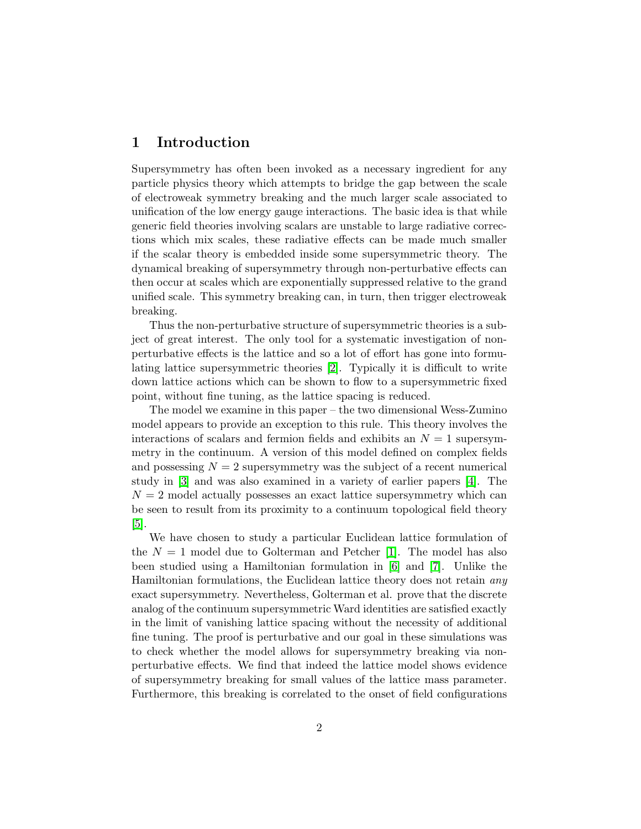#### 1 Introduction

Supersymmetry has often been invoked as a necessary ingredient for any particle physics theory which attempts to bridge the gap between the scale of electroweak symmetry breaking and the much larger scale associated to unification of the low energy gauge interactions. The basic idea is that while generic field theories involving scalars are unstable to large radiative corrections which mix scales, these radiative effects can be made much smaller if the scalar theory is embedded inside some supersymmetric theory. The dynamical breaking of supersymmetry through non-perturbative effects can then occur at scales which are exponentially suppressed relative to the grand unified scale. This symmetry breaking can, in turn, then trigger electroweak breaking.

Thus the non-perturbative structure of supersymmetric theories is a subject of great interest. The only tool for a systematic investigation of nonperturbative effects is the lattice and so a lot of effort has gone into formulating lattice supersymmetric theories [\[2\]](#page-19-1). Typically it is difficult to write down lattice actions which can be shown to flow to a supersymmetric fixed point, without fine tuning, as the lattice spacing is reduced.

The model we examine in this paper – the two dimensional Wess-Zumino model appears to provide an exception to this rule. This theory involves the interactions of scalars and fermion fields and exhibits an  $N = 1$  supersymmetry in the continuum. A version of this model defined on complex fields and possessing  $N = 2$  supersymmetry was the subject of a recent numerical study in [\[3\]](#page-19-2) and was also examined in a variety of earlier papers [\[4\]](#page-19-3). The  $N = 2$  model actually possesses an exact lattice supersymmetry which can be seen to result from its proximity to a continuum topological field theory  $|5|$ .

We have chosen to study a particular Euclidean lattice formulation of the  $N = 1$  model due to Golterman and Petcher [\[1\]](#page-19-0). The model has also been studied using a Hamiltonian formulation in [\[6\]](#page-19-5) and [\[7\]](#page-19-6). Unlike the Hamiltonian formulations, the Euclidean lattice theory does not retain any exact supersymmetry. Nevertheless, Golterman et al. prove that the discrete analog of the continuum supersymmetric Ward identities are satisfied exactly in the limit of vanishing lattice spacing without the necessity of additional fine tuning. The proof is perturbative and our goal in these simulations was to check whether the model allows for supersymmetry breaking via nonperturbative effects. We find that indeed the lattice model shows evidence of supersymmetry breaking for small values of the lattice mass parameter. Furthermore, this breaking is correlated to the onset of field configurations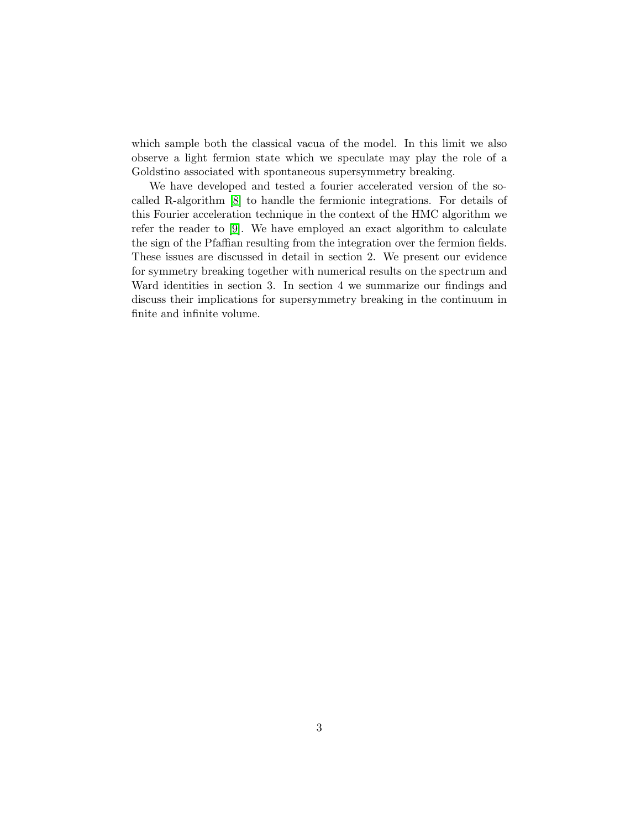which sample both the classical vacua of the model. In this limit we also observe a light fermion state which we speculate may play the role of a Goldstino associated with spontaneous supersymmetry breaking.

We have developed and tested a fourier accelerated version of the socalled R-algorithm [\[8\]](#page-19-7) to handle the fermionic integrations. For details of this Fourier acceleration technique in the context of the HMC algorithm we refer the reader to [\[9\]](#page-19-8). We have employed an exact algorithm to calculate the sign of the Pfaffian resulting from the integration over the fermion fields. These issues are discussed in detail in section 2. We present our evidence for symmetry breaking together with numerical results on the spectrum and Ward identities in section 3. In section 4 we summarize our findings and discuss their implications for supersymmetry breaking in the continuum in finite and infinite volume.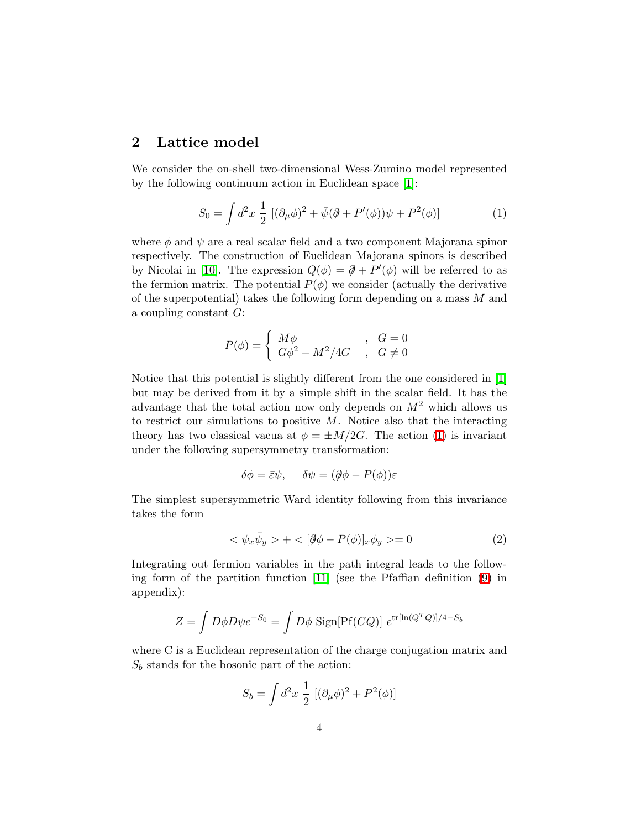#### 2 Lattice model

<span id="page-4-0"></span>We consider the on-shell two-dimensional Wess-Zumino model represented by the following continuum action in Euclidean space [\[1\]](#page-19-0):

$$
S_0 = \int d^2x \; \frac{1}{2} \; [(\partial_\mu \phi)^2 + \bar{\psi}(\partial \!\!\!/ + P'(\phi))\psi + P^2(\phi)] \qquad (1)
$$

where  $\phi$  and  $\psi$  are a real scalar field and a two component Majorana spinor respectively. The construction of Euclidean Majorana spinors is described by Nicolai in [\[10\]](#page-19-9). The expression  $Q(\phi) = \partial + P'(\phi)$  will be referred to as the fermion matrix. The potential  $P(\phi)$  we consider (actually the derivative of the superpotential) takes the following form depending on a mass M and a coupling constant  $G$ :

$$
P(\phi) = \begin{cases} M\phi & , G = 0\\ G\phi^2 - M^2/4G & , G \neq 0 \end{cases}
$$

Notice that this potential is slightly different from the one considered in [\[1\]](#page-19-0) but may be derived from it by a simple shift in the scalar field. It has the advantage that the total action now only depends on  $M^2$  which allows us to restrict our simulations to positive  $M$ . Notice also that the interacting theory has two classical vacua at  $\phi = \pm M/2G$ . The action [\(1\)](#page-4-0) is invariant under the following supersymmetry transformation:

$$
\delta\phi = \bar{\varepsilon}\psi, \quad \delta\psi = (\partial\!\!\!/\phi - P(\phi))\varepsilon
$$

<span id="page-4-1"></span>The simplest supersymmetric Ward identity following from this invariance takes the form

$$
\langle \psi_x \bar{\psi}_y \rangle + \langle [\partial \phi - P(\phi)]_x \phi_y \rangle = 0 \tag{2}
$$

Integrating out fermion variables in the path integral leads to the following form of the partition function [\[11\]](#page-19-10) (see the Pfaffian definition [\(9\)](#page-17-0) in appendix):

$$
Z = \int D\phi D\psi e^{-S_0} = \int D\phi \text{ Sign[Pf}(CQ)] e^{\text{tr}[ln(Q^TQ)]/4-S_b}
$$

where C is a Euclidean representation of the charge conjugation matrix and  $S_b$  stands for the bosonic part of the action:

$$
S_b = \int d^2x \; \frac{1}{2} \; [(\partial_\mu \phi)^2 + P^2(\phi)]
$$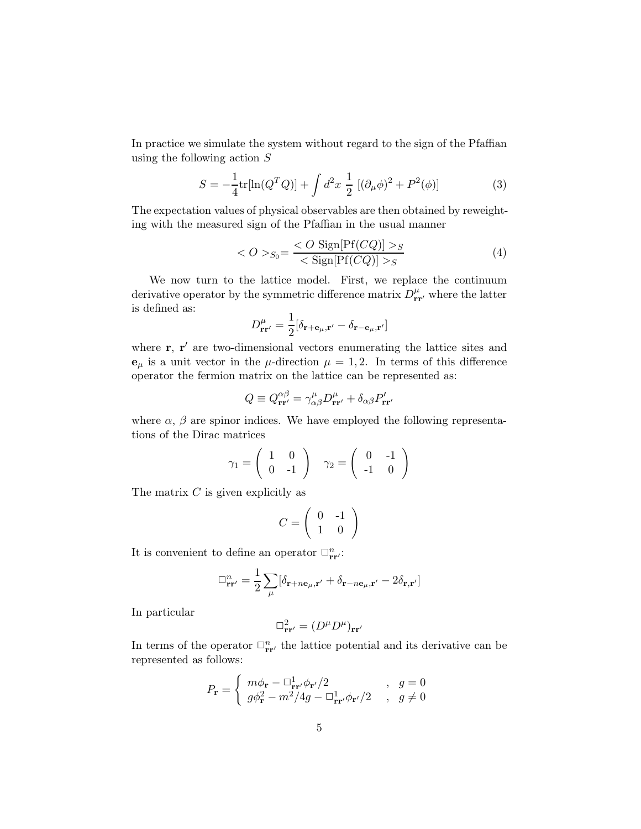<span id="page-5-0"></span>In practice we simulate the system without regard to the sign of the Pfaffian using the following action S

$$
S = -\frac{1}{4} \text{tr}[\ln(Q^T Q)] + \int d^2 x \frac{1}{2} [(\partial_\mu \phi)^2 + P^2(\phi)] \tag{3}
$$

<span id="page-5-1"></span>The expectation values of physical observables are then obtained by reweighting with the measured sign of the Pfaffian in the usual manner

$$
\langle O \rangle_{S_0} = \frac{\langle O \text{ Sign}[Pf(CQ)] \rangle_S}{\langle \text{Sign}[Pf(CQ)] \rangle_S} \tag{4}
$$

We now turn to the lattice model. First, we replace the continuum derivative operator by the symmetric difference matrix  $D_{rr'}^{\mu}$ , where the latter is defined as:

$$
D_{\mathbf{r}\mathbf{r}'}^{\mu} = \frac{1}{2} [\delta_{\mathbf{r}+\mathbf{e}_{\mu},\mathbf{r}'} - \delta_{\mathbf{r}-\mathbf{e}_{\mu},\mathbf{r}'}]
$$

where  $\mathbf{r}, \mathbf{r}'$  are two-dimensional vectors enumerating the lattice sites and  $\mathbf{e}_{\mu}$  is a unit vector in the  $\mu$ -direction  $\mu = 1, 2$ . In terms of this difference operator the fermion matrix on the lattice can be represented as:

$$
Q \equiv Q_{\mathbf{r}\mathbf{r}'}^{\alpha\beta} = \gamma_{\alpha\beta}^{\mu} D_{\mathbf{r}\mathbf{r}'}^{\mu} + \delta_{\alpha\beta} P_{\mathbf{r}\mathbf{r}'}'
$$

where  $\alpha$ ,  $\beta$  are spinor indices. We have employed the following representations of the Dirac matrices

$$
\gamma_1 = \left(\begin{array}{cc} 1 & 0 \\ 0 & -1 \end{array}\right) \quad \gamma_2 = \left(\begin{array}{cc} 0 & -1 \\ -1 & 0 \end{array}\right)
$$

The matrix  $C$  is given explicitly as

$$
C = \left(\begin{array}{cc} 0 & -1 \\ 1 & 0 \end{array}\right)
$$

It is convenient to define an operator  $\Box_{rr}^n$ .

$$
\Box_{\mathbf{r}\mathbf{r}'}^n = \frac{1}{2} \sum_{\mu} [\delta_{\mathbf{r}+n\mathbf{e}_{\mu},\mathbf{r}'} + \delta_{\mathbf{r}-n\mathbf{e}_{\mu},\mathbf{r}'} - 2\delta_{\mathbf{r},\mathbf{r}'}]
$$

In particular

$$
\Box^2_{{\bf r}{\bf r}'}=(D^\mu D^\mu)_{{\bf r}{\bf r}'}
$$

In terms of the operator  $\Box_{rr}^n$  the lattice potential and its derivative can be represented as follows:

$$
P_{\mathbf{r}} = \begin{cases} m\phi_{\mathbf{r}} - \Box_{\mathbf{r}\mathbf{r}'}^1 \phi_{\mathbf{r}'} / 2 & , g = 0 \\ g\phi_{\mathbf{r}}^2 - m^2 / 4g - \Box_{\mathbf{r}\mathbf{r}'}^1 \phi_{\mathbf{r}'} / 2 & , g \neq 0 \end{cases}
$$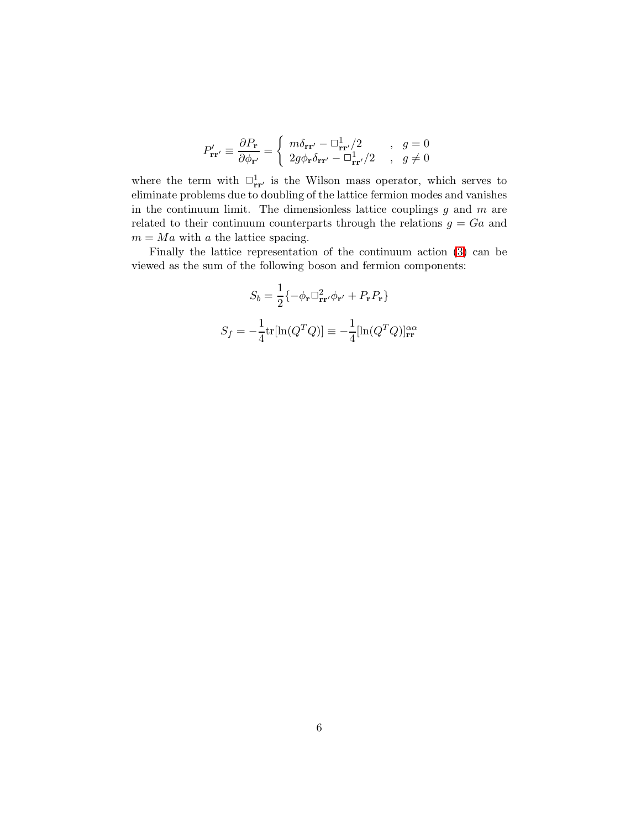$$
P'_{\mathbf{r}\mathbf{r}'} \equiv \frac{\partial P_{\mathbf{r}}}{\partial \phi_{\mathbf{r}'}} = \begin{cases} m\delta_{\mathbf{r}\mathbf{r}'} - \Box_{\mathbf{r}\mathbf{r}'}^1/2 & , g = 0\\ 2g\phi_{\mathbf{r}}\delta_{\mathbf{r}\mathbf{r}'} - \Box_{\mathbf{r}\mathbf{r}'}^1/2 & , g \neq 0 \end{cases}
$$

where the term with  $\Box_{rr}^1$  is the Wilson mass operator, which serves to eliminate problems due to doubling of the lattice fermion modes and vanishes in the continuum limit. The dimensionless lattice couplings  $g$  and  $m$  are related to their continuum counterparts through the relations  $g = Ga$  and  $m = Ma$  with a the lattice spacing.

Finally the lattice representation of the continuum action [\(3\)](#page-5-0) can be viewed as the sum of the following boson and fermion components:

$$
S_b = \frac{1}{2} \{-\phi_{\mathbf{r}} \Box_{\mathbf{r}\mathbf{r}}^2 / \phi_{\mathbf{r}'} + P_{\mathbf{r}} P_{\mathbf{r}}\}
$$

$$
S_f = -\frac{1}{4} \text{tr}[\ln(Q^T Q)] \equiv -\frac{1}{4} [\ln(Q^T Q)]_{\mathbf{r}\mathbf{r}}^{\alpha\alpha}
$$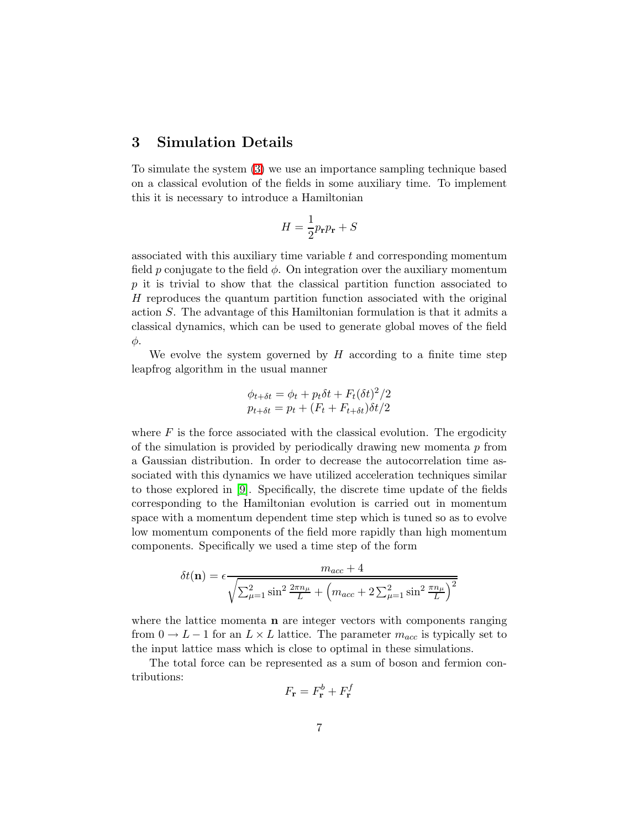#### 3 Simulation Details

To simulate the system [\(3\)](#page-5-0) we use an importance sampling technique based on a classical evolution of the fields in some auxiliary time. To implement this it is necessary to introduce a Hamiltonian

$$
H = \frac{1}{2}p_{\mathbf{r}}p_{\mathbf{r}} + S
$$

associated with this auxiliary time variable  $t$  and corresponding momentum field p conjugate to the field  $\phi$ . On integration over the auxiliary momentum p it is trivial to show that the classical partition function associated to H reproduces the quantum partition function associated with the original action S. The advantage of this Hamiltonian formulation is that it admits a classical dynamics, which can be used to generate global moves of the field φ.

We evolve the system governed by  $H$  according to a finite time step leapfrog algorithm in the usual manner

$$
\phi_{t+\delta t} = \phi_t + p_t \delta t + F_t(\delta t)^2 / 2
$$
  

$$
p_{t+\delta t} = p_t + (F_t + F_{t+\delta t}) \delta t / 2
$$

where  $F$  is the force associated with the classical evolution. The ergodicity of the simulation is provided by periodically drawing new momenta  $p$  from a Gaussian distribution. In order to decrease the autocorrelation time associated with this dynamics we have utilized acceleration techniques similar to those explored in [\[9\]](#page-19-8). Specifically, the discrete time update of the fields corresponding to the Hamiltonian evolution is carried out in momentum space with a momentum dependent time step which is tuned so as to evolve low momentum components of the field more rapidly than high momentum components. Specifically we used a time step of the form

$$
\delta t(\mathbf{n}) = \epsilon \frac{m_{acc} + 4}{\sqrt{\sum_{\mu=1}^{2} \sin^{2} \frac{2\pi n_{\mu}}{L} + (m_{acc} + 2\sum_{\mu=1}^{2} \sin^{2} \frac{\pi n_{\mu}}{L})^{2}}}
$$

where the lattice momenta  $n$  are integer vectors with components ranging from  $0 \to L-1$  for an  $L \times L$  lattice. The parameter  $m_{acc}$  is typically set to the input lattice mass which is close to optimal in these simulations.

The total force can be represented as a sum of boson and fermion contributions:

$$
F_{\mathbf{r}} = F_{\mathbf{r}}^b + F_{\mathbf{r}}^f
$$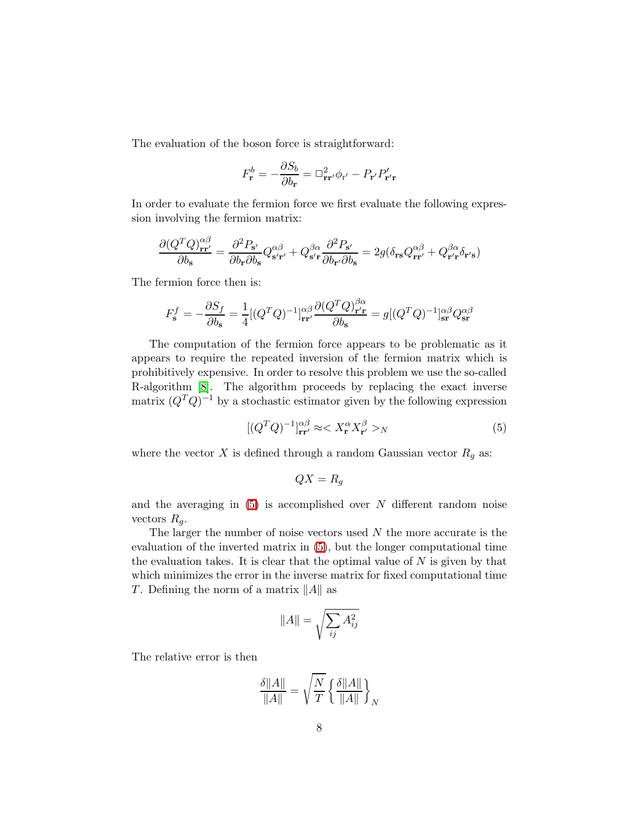The evaluation of the boson force is straightforward:

$$
F_{\mathbf{r}}^{b} = -\frac{\partial S_{b}}{\partial b_{\mathbf{r}}} = \Box_{\mathbf{r}\mathbf{r'}}^{2} \phi_{\mathbf{r'}} - P_{\mathbf{r'}} P'_{\mathbf{r'}\mathbf{r}}
$$

In order to evaluate the fermion force we first evaluate the following expression involving the fermion matrix:

$$
\frac{\partial (Q^TQ)_{{\bf rr'}}^{\alpha\beta}}{\partial b_{\bf s}}=\frac{\partial^2P_{\bf s'}}{\partial b_{\bf r}\partial b_{\bf s}}Q_{\bf s' \bf r'}^{\alpha\beta}+Q_{\bf s' \bf r}^{\beta\alpha}\frac{\partial^2P_{\bf s'}}{\partial b_{\bf r'}\partial b_{\bf s}}=2g(\delta_{\bf rs}Q_{{\bf rr'} }^{\alpha\beta}+Q_{{\bf r'} \bf r'}^{\beta\alpha}\delta_{{\bf r'} \bf s})
$$

The fermion force then is:

$$
F_{\mathbf{s}}^{f} = -\frac{\partial S_{f}}{\partial b_{\mathbf{s}}} = \frac{1}{4} [(Q^{T}Q)^{-1}]_{\mathbf{r}\mathbf{r}'}^{\alpha\beta} \frac{\partial (Q^{T}Q)_{\mathbf{r}'\mathbf{r}}^{\beta\alpha}}{\partial b_{\mathbf{s}}} = g [(Q^{T}Q)^{-1}]_{\mathbf{sr}}^{\alpha\beta} Q_{\mathbf{sr}}^{\alpha\beta}
$$

The computation of the fermion force appears to be problematic as it appears to require the repeated inversion of the fermion matrix which is prohibitively expensive. In order to resolve this problem we use the so-called R-algorithm [\[8\]](#page-19-7). The algorithm proceeds by replacing the exact inverse matrix  $(Q^TQ)^{-1}$  by a stochastic estimator given by the following expression

$$
[(Q^T Q)^{-1}]^{\alpha\beta}_{\mathbf{r}\mathbf{r}'} \approx < X^{\alpha}_{\mathbf{r}} X^{\beta}_{\mathbf{r}'} >_{N} \tag{5}
$$

<span id="page-8-0"></span>where the vector  $X$  is defined through a random Gaussian vector  $R_g$  as:

$$
QX = R_g
$$

and the averaging in  $(5)$  is accomplished over N different random noise vectors  $R_q$ .

The larger the number of noise vectors used  $N$  the more accurate is the evaluation of the inverted matrix in [\(5\)](#page-8-0), but the longer computational time the evaluation takes. It is clear that the optimal value of  $N$  is given by that which minimizes the error in the inverse matrix for fixed computational time T. Defining the norm of a matrix  $||A||$  as

$$
||A|| = \sqrt{\sum_{ij} A_{ij}^2}
$$

The relative error is then

$$
\frac{\delta ||A||}{\|A\|} = \sqrt{\frac{N}{T}} \left\{ \frac{\delta ||A||}{\|A\|} \right\}_N
$$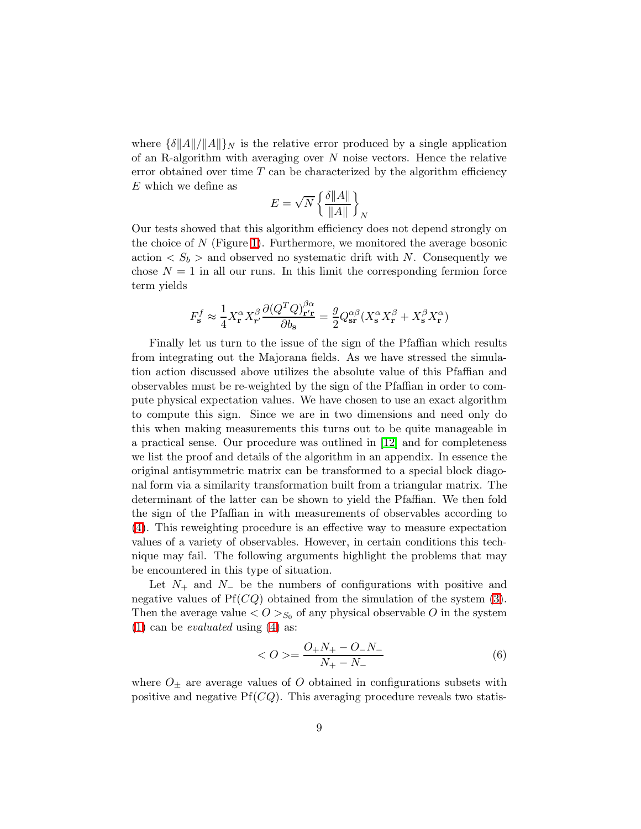where  $\{\delta \|A\|/\|A\|\}_{N}$  is the relative error produced by a single application of an R-algorithm with averaging over  $N$  noise vectors. Hence the relative error obtained over time  $T$  can be characterized by the algorithm efficiency E which we define as

$$
E = \sqrt{N} \left\{ \frac{\delta ||A||}{||A||} \right\}_N
$$

Our tests showed that this algorithm efficiency does not depend strongly on the choice of  $N$  (Figure [1\)](#page-21-0). Furthermore, we monitored the average bosonic action  $\langle S_b \rangle$  and observed no systematic drift with N. Consequently we chose  $N = 1$  in all our runs. In this limit the corresponding fermion force term yields

$$
F_\mathbf{s}^f \approx \frac{1}{4} X^\alpha_\mathbf{r} X^\beta_{\mathbf{r}'} \frac{\partial (Q^T Q)^{\beta\alpha}_{{\mathbf{r}'}\mathbf{r}}}{\partial b_\mathbf{s}} = \frac{g}{2} Q^{\alpha\beta}_\mathbf{sr}(X^\alpha_\mathbf{s} X^\beta_{\mathbf{r}} + X^\beta_\mathbf{s} X^\alpha_{\mathbf{r}})
$$

Finally let us turn to the issue of the sign of the Pfaffian which results from integrating out the Majorana fields. As we have stressed the simulation action discussed above utilizes the absolute value of this Pfaffian and observables must be re-weighted by the sign of the Pfaffian in order to compute physical expectation values. We have chosen to use an exact algorithm to compute this sign. Since we are in two dimensions and need only do this when making measurements this turns out to be quite manageable in a practical sense. Our procedure was outlined in [\[12\]](#page-20-0) and for completeness we list the proof and details of the algorithm in an appendix. In essence the original antisymmetric matrix can be transformed to a special block diagonal form via a similarity transformation built from a triangular matrix. The determinant of the latter can be shown to yield the Pfaffian. We then fold the sign of the Pfaffian in with measurements of observables according to [\(4\)](#page-5-1). This reweighting procedure is an effective way to measure expectation values of a variety of observables. However, in certain conditions this technique may fail. The following arguments highlight the problems that may be encountered in this type of situation.

Let  $N_+$  and  $N_-$  be the numbers of configurations with positive and negative values of  $Pf(CQ)$  obtained from the simulation of the system [\(3\)](#page-5-0). Then the average value  $\langle O \rangle_{S_0}$  of any physical observable O in the system [\(1\)](#page-4-0) can be *evaluated* using [\(4\)](#page-5-1) as:

$$
\langle O \rangle = \frac{O_+ N_+ - O_- N_-}{N_+ - N_-} \tag{6}
$$

<span id="page-9-0"></span>where  $O_{\pm}$  are average values of O obtained in configurations subsets with positive and negative  $Pf(CQ)$ . This averaging procedure reveals two statis-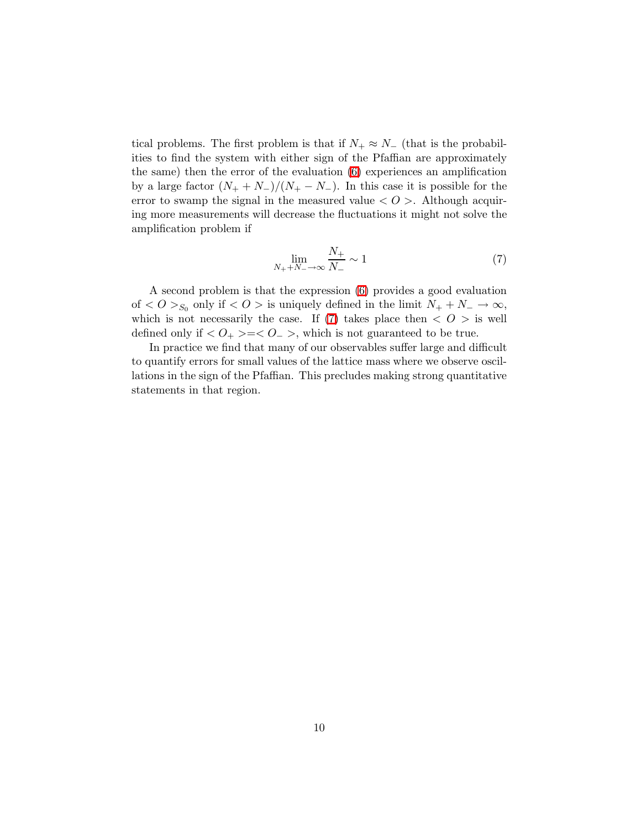tical problems. The first problem is that if  $N_+ \approx N_-$  (that is the probabilities to find the system with either sign of the Pfaffian are approximately the same) then the error of the evaluation [\(6\)](#page-9-0) experiences an amplification by a large factor  $(N_+ + N_-)/(N_+ - N_-)$ . In this case it is possible for the error to swamp the signal in the measured value  $\langle O \rangle$ . Although acquiring more measurements will decrease the fluctuations it might not solve the amplification problem if

<span id="page-10-0"></span>
$$
\lim_{N_+ + N_- \to \infty} \frac{N_+}{N_-} \sim 1\tag{7}
$$

A second problem is that the expression [\(6\)](#page-9-0) provides a good evaluation of  $\langle O \rangle_{S_0}$  only if  $\langle O \rangle$  is uniquely defined in the limit  $N_+ + N_- \to \infty$ , which is not necessarily the case. If [\(7\)](#page-10-0) takes place then  $\langle O \rangle$  is well defined only if  $\langle O_+ \rangle = \langle O_- \rangle$ , which is not guaranteed to be true.

In practice we find that many of our observables suffer large and difficult to quantify errors for small values of the lattice mass where we observe oscillations in the sign of the Pfaffian. This precludes making strong quantitative statements in that region.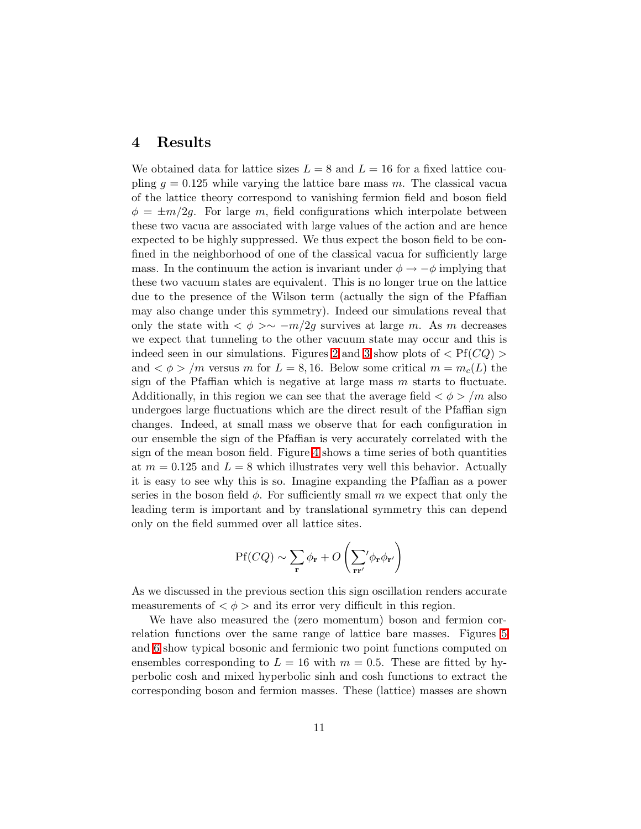#### 4 Results

We obtained data for lattice sizes  $L = 8$  and  $L = 16$  for a fixed lattice coupling  $g = 0.125$  while varying the lattice bare mass m. The classical vacua of the lattice theory correspond to vanishing fermion field and boson field  $\phi = \pm m/2q$ . For large m, field configurations which interpolate between these two vacua are associated with large values of the action and are hence expected to be highly suppressed. We thus expect the boson field to be confined in the neighborhood of one of the classical vacua for sufficiently large mass. In the continuum the action is invariant under  $\phi \to -\phi$  implying that these two vacuum states are equivalent. This is no longer true on the lattice due to the presence of the Wilson term (actually the sign of the Pfaffian may also change under this symmetry). Indeed our simulations reveal that only the state with  $\langle \phi \rangle \sim -m/2g$  survives at large m. As m decreases we expect that tunneling to the other vacuum state may occur and this is indeed seen in our simulations. Figures [2](#page-22-0) and [3](#page-23-0) show plots of  $\langle Pf(CQ) \rangle$ and  $\langle \phi \rangle / m$  versus m for  $L = 8, 16$ . Below some critical  $m = m_c(L)$  the sign of the Pfaffian which is negative at large mass  $m$  starts to fluctuate. Additionally, in this region we can see that the average field  $\langle \phi \rangle /m$  also undergoes large fluctuations which are the direct result of the Pfaffian sign changes. Indeed, at small mass we observe that for each configuration in our ensemble the sign of the Pfaffian is very accurately correlated with the sign of the mean boson field. Figure [4](#page-24-0) shows a time series of both quantities at  $m = 0.125$  and  $L = 8$  which illustrates very well this behavior. Actually it is easy to see why this is so. Imagine expanding the Pfaffian as a power series in the boson field  $\phi$ . For sufficiently small m we expect that only the leading term is important and by translational symmetry this can depend only on the field summed over all lattice sites.

$$
\mathrm{Pf}(CQ) \sim \sum_{\mathbf{r}} \phi_{\mathbf{r}} + O\left(\sum_{\mathbf{r} \mathbf{r}'} \phi_{\mathbf{r}} \phi_{\mathbf{r}'}\right)
$$

As we discussed in the previous section this sign oscillation renders accurate measurements of  $\langle \phi \rangle$  and its error very difficult in this region.

We have also measured the (zero momentum) boson and fermion correlation functions over the same range of lattice bare masses. Figures [5](#page-25-0) and [6](#page-26-0) show typical bosonic and fermionic two point functions computed on ensembles corresponding to  $L = 16$  with  $m = 0.5$ . These are fitted by hyperbolic cosh and mixed hyperbolic sinh and cosh functions to extract the corresponding boson and fermion masses. These (lattice) masses are shown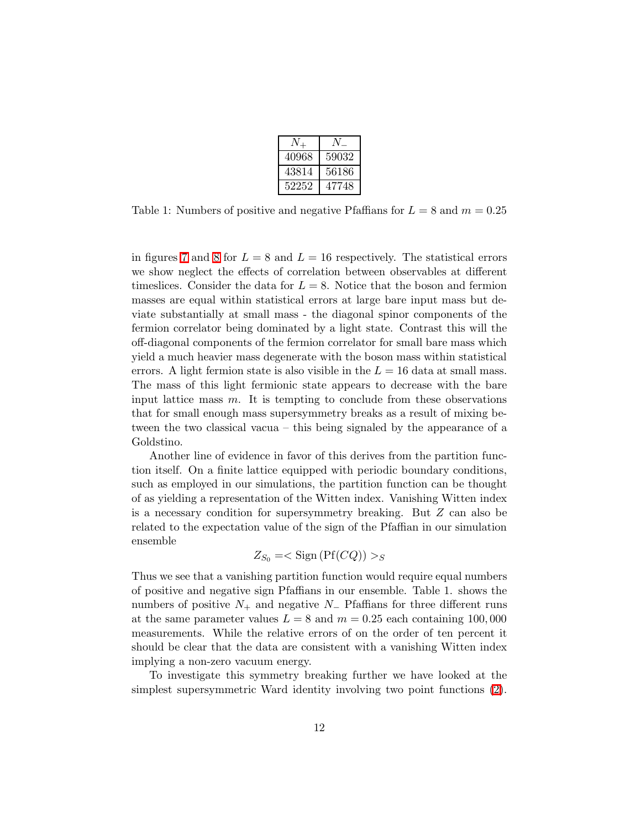| 40968 | 59032 |
|-------|-------|
| 43814 | 56186 |
| 52252 | 47748 |

Table 1: Numbers of positive and negative Pfaffians for  $L = 8$  and  $m = 0.25$ 

in figures [7](#page-27-0) and [8](#page-28-0) for  $L = 8$  and  $L = 16$  respectively. The statistical errors we show neglect the effects of correlation between observables at different timeslices. Consider the data for  $L = 8$ . Notice that the boson and fermion masses are equal within statistical errors at large bare input mass but deviate substantially at small mass - the diagonal spinor components of the fermion correlator being dominated by a light state. Contrast this will the off-diagonal components of the fermion correlator for small bare mass which yield a much heavier mass degenerate with the boson mass within statistical errors. A light fermion state is also visible in the  $L = 16$  data at small mass. The mass of this light fermionic state appears to decrease with the bare input lattice mass  $m$ . It is tempting to conclude from these observations that for small enough mass supersymmetry breaks as a result of mixing between the two classical vacua – this being signaled by the appearance of a Goldstino.

Another line of evidence in favor of this derives from the partition function itself. On a finite lattice equipped with periodic boundary conditions, such as employed in our simulations, the partition function can be thought of as yielding a representation of the Witten index. Vanishing Witten index is a necessary condition for supersymmetry breaking. But Z can also be related to the expectation value of the sign of the Pfaffian in our simulation ensemble

$$
Z_{S_0} = <\mathrm{Sign}\left(\mathrm{Pf}(CQ)\right) >_{S}
$$

Thus we see that a vanishing partition function would require equal numbers of positive and negative sign Pfaffians in our ensemble. Table 1. shows the numbers of positive  $N_+$  and negative  $N_-$  Pfaffians for three different runs at the same parameter values  $L = 8$  and  $m = 0.25$  each containing 100,000 measurements. While the relative errors of on the order of ten percent it should be clear that the data are consistent with a vanishing Witten index implying a non-zero vacuum energy.

To investigate this symmetry breaking further we have looked at the simplest supersymmetric Ward identity involving two point functions [\(2\)](#page-4-1).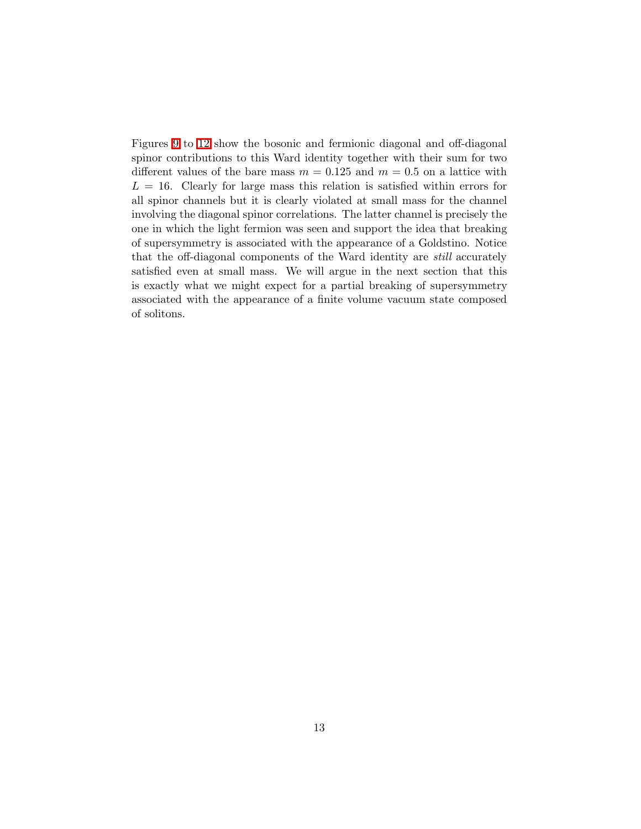Figures [9](#page-29-0) to [12](#page-32-0) show the bosonic and fermionic diagonal and off-diagonal spinor contributions to this Ward identity together with their sum for two different values of the bare mass  $m = 0.125$  and  $m = 0.5$  on a lattice with  $L = 16$ . Clearly for large mass this relation is satisfied within errors for all spinor channels but it is clearly violated at small mass for the channel involving the diagonal spinor correlations. The latter channel is precisely the one in which the light fermion was seen and support the idea that breaking of supersymmetry is associated with the appearance of a Goldstino. Notice that the off-diagonal components of the Ward identity are still accurately satisfied even at small mass. We will argue in the next section that this is exactly what we might expect for a partial breaking of supersymmetry associated with the appearance of a finite volume vacuum state composed of solitons.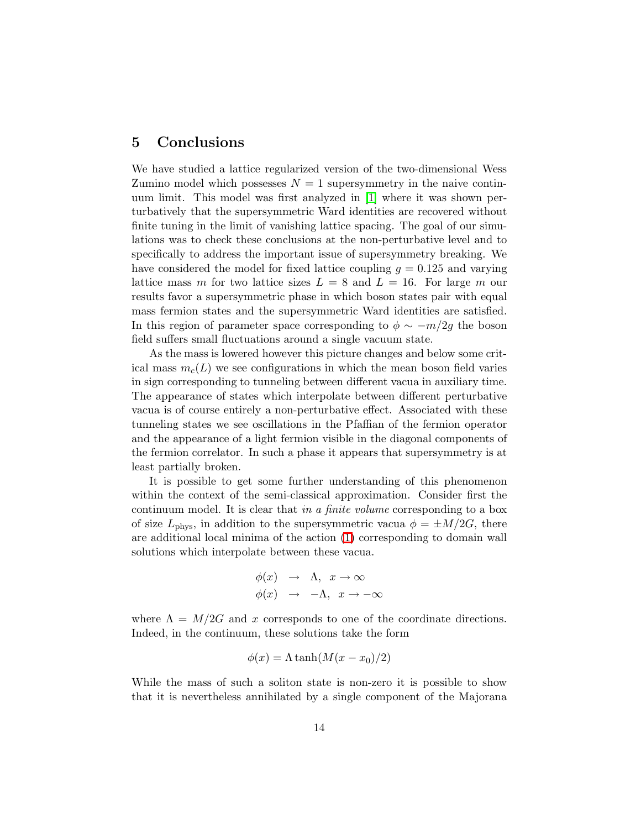#### 5 Conclusions

We have studied a lattice regularized version of the two-dimensional Wess Zumino model which possesses  $N = 1$  supersymmetry in the naive continuum limit. This model was first analyzed in [\[1\]](#page-19-0) where it was shown perturbatively that the supersymmetric Ward identities are recovered without finite tuning in the limit of vanishing lattice spacing. The goal of our simulations was to check these conclusions at the non-perturbative level and to specifically to address the important issue of supersymmetry breaking. We have considered the model for fixed lattice coupling  $g = 0.125$  and varying lattice mass m for two lattice sizes  $L = 8$  and  $L = 16$ . For large m our results favor a supersymmetric phase in which boson states pair with equal mass fermion states and the supersymmetric Ward identities are satisfied. In this region of parameter space corresponding to  $\phi \sim -m/2g$  the boson field suffers small fluctuations around a single vacuum state.

As the mass is lowered however this picture changes and below some critical mass  $m<sub>c</sub>(L)$  we see configurations in which the mean boson field varies in sign corresponding to tunneling between different vacua in auxiliary time. The appearance of states which interpolate between different perturbative vacua is of course entirely a non-perturbative effect. Associated with these tunneling states we see oscillations in the Pfaffian of the fermion operator and the appearance of a light fermion visible in the diagonal components of the fermion correlator. In such a phase it appears that supersymmetry is at least partially broken.

It is possible to get some further understanding of this phenomenon within the context of the semi-classical approximation. Consider first the continuum model. It is clear that in a finite volume corresponding to a box of size  $L_{\text{phys}}$ , in addition to the supersymmetric vacua  $\phi = \pm M/2G$ , there are additional local minima of the action [\(1\)](#page-4-0) corresponding to domain wall solutions which interpolate between these vacua.

$$
\begin{array}{rcl}\n\phi(x) & \to & \Lambda, \ \ x \to \infty \\
\phi(x) & \to & -\Lambda, \ \ x \to -\infty\n\end{array}
$$

where  $\Lambda = M/2G$  and x corresponds to one of the coordinate directions. Indeed, in the continuum, these solutions take the form

$$
\phi(x) = \Lambda \tanh(M(x - x_0)/2)
$$

While the mass of such a soliton state is non-zero it is possible to show that it is nevertheless annihilated by a single component of the Majorana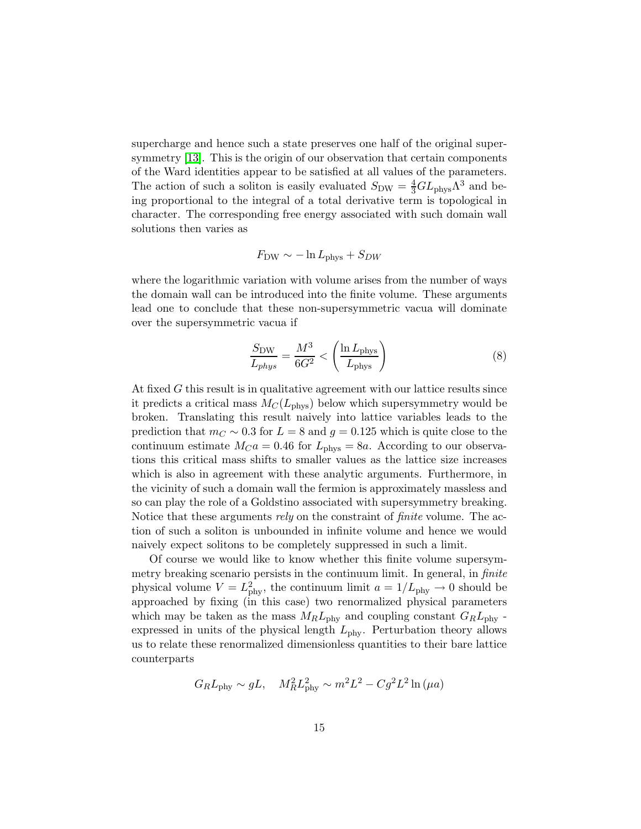supercharge and hence such a state preserves one half of the original supersymmetry [\[13\]](#page-20-1). This is the origin of our observation that certain components of the Ward identities appear to be satisfied at all values of the parameters. The action of such a soliton is easily evaluated  $S_{\text{DW}} = \frac{4}{3}GL_{\text{phys}}\Lambda^3$  and being proportional to the integral of a total derivative term is topological in character. The corresponding free energy associated with such domain wall solutions then varies as

$$
F_{\rm DW} \sim -\ln L_{\rm phys} + S_{DW}
$$

where the logarithmic variation with volume arises from the number of ways the domain wall can be introduced into the finite volume. These arguments lead one to conclude that these non-supersymmetric vacua will dominate over the supersymmetric vacua if

$$
\frac{S_{\rm DW}}{L_{phys}} = \frac{M^3}{6G^2} < \left(\frac{\ln L_{\rm phys}}{L_{\rm phys}}\right) \tag{8}
$$

At fixed G this result is in qualitative agreement with our lattice results since it predicts a critical mass  $M_C(L_{\text{phys}})$  below which supersymmetry would be broken. Translating this result naively into lattice variables leads to the prediction that  $m<sub>C</sub> \sim 0.3$  for  $L = 8$  and  $g = 0.125$  which is quite close to the continuum estimate  $M_{C}a = 0.46$  for  $L_{\text{phys}} = 8a$ . According to our observations this critical mass shifts to smaller values as the lattice size increases which is also in agreement with these analytic arguments. Furthermore, in the vicinity of such a domain wall the fermion is approximately massless and so can play the role of a Goldstino associated with supersymmetry breaking. Notice that these arguments *rely* on the constraint of *finite* volume. The action of such a soliton is unbounded in infinite volume and hence we would naively expect solitons to be completely suppressed in such a limit.

Of course we would like to know whether this finite volume supersymmetry breaking scenario persists in the continuum limit. In general, in *finite* physical volume  $V = L_{\text{phy}}^2$ , the continuum limit  $a = 1/L_{\text{phy}} \rightarrow 0$  should be approached by fixing (in this case) two renormalized physical parameters which may be taken as the mass  $M_R L_{\rm phy}$  and coupling constant  $G_R L_{\rm phy}$ . expressed in units of the physical length  $L_{\rm phy}$ . Perturbation theory allows us to relate these renormalized dimensionless quantities to their bare lattice counterparts

$$
G_R L_{\rm phy} \sim gL, \quad M_R^2 L_{\rm phy}^2 \sim m^2 L^2 - Cg^2 L^2 \ln(\mu a)
$$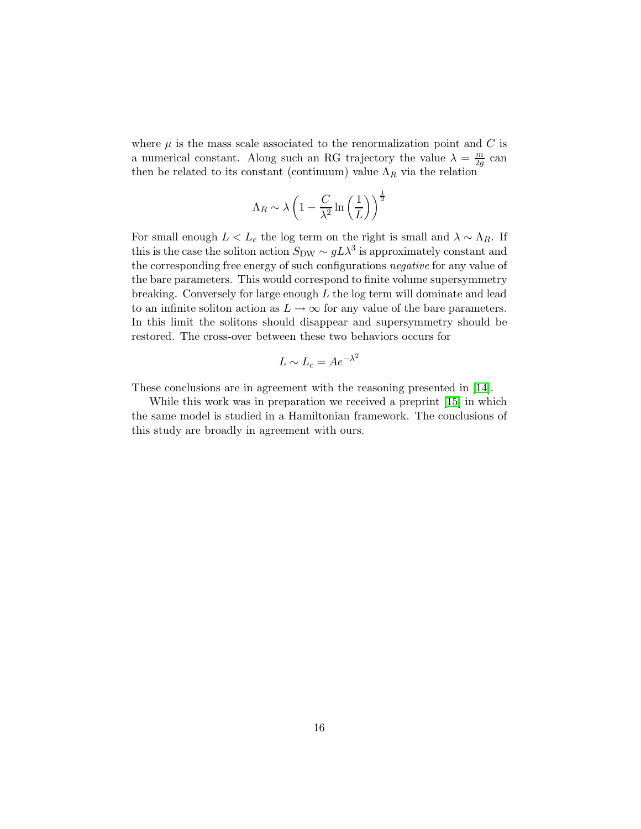where  $\mu$  is the mass scale associated to the renormalization point and C is a numerical constant. Along such an RG trajectory the value  $\lambda = \frac{m}{2a}$  $\frac{m}{2g}$  can then be related to its constant (continuum) value  $\Lambda_R$  via the relation

$$
\Lambda_R \sim \lambda \left( 1 - \frac{C}{\lambda^2}\ln\left(\frac{1}{L}\right) \right)^{\frac{1}{2}}
$$

For small enough  $L < L_c$  the log term on the right is small and  $\lambda \sim \Lambda_R$ . If this is the case the soliton action  $S_{\text{DW}} \sim g L \lambda^3$  is approximately constant and the corresponding free energy of such configurations negative for any value of the bare parameters. This would correspond to finite volume supersymmetry breaking. Conversely for large enough  $L$  the log term will dominate and lead to an infinite soliton action as  $L \to \infty$  for any value of the bare parameters. In this limit the solitons should disappear and supersymmetry should be restored. The cross-over between these two behaviors occurs for

$$
L \sim L_c = Ae^{-\lambda^2}
$$

These conclusions are in agreement with the reasoning presented in [\[14\]](#page-20-2).

While this work was in preparation we received a preprint [\[15\]](#page-20-3) in which the same model is studied in a Hamiltonian framework. The conclusions of this study are broadly in agreement with ours.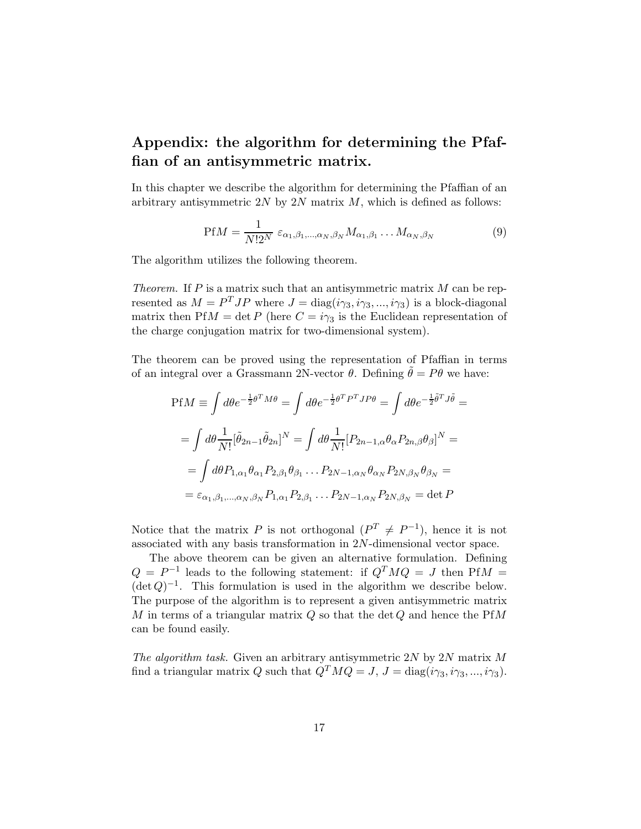## Appendix: the algorithm for determining the Pfaffian of an antisymmetric matrix.

<span id="page-17-0"></span>In this chapter we describe the algorithm for determining the Pfaffian of an arbitrary antisymmetric  $2N$  by  $2N$  matrix  $M$ , which is defined as follows:

$$
\text{Pf}M = \frac{1}{N!2^N} \varepsilon_{\alpha_1, \beta_1, \dots, \alpha_N, \beta_N} M_{\alpha_1, \beta_1} \dots M_{\alpha_N, \beta_N} \tag{9}
$$

The algorithm utilizes the following theorem.

Theorem. If  $P$  is a matrix such that an antisymmetric matrix  $M$  can be represented as  $M = P<sup>T</sup>JP$  where  $J = \text{diag}(i\gamma_3, i\gamma_3, ..., i\gamma_3)$  is a block-diagonal matrix then PfM = det P (here  $C = i\gamma_3$  is the Euclidean representation of the charge conjugation matrix for two-dimensional system).

The theorem can be proved using the representation of Pfaffian in terms of an integral over a Grassmann 2N-vector  $\theta$ . Defining  $\ddot{\theta} = P\theta$  we have:

$$
PfM \equiv \int d\theta e^{-\frac{1}{2}\theta^T M \theta} = \int d\theta e^{-\frac{1}{2}\theta^T P^T J P \theta} = \int d\theta e^{-\frac{1}{2}\tilde{\theta}^T J \tilde{\theta}} =
$$
  

$$
= \int d\theta \frac{1}{N!} [\tilde{\theta}_{2n-1} \tilde{\theta}_{2n}]^N = \int d\theta \frac{1}{N!} [P_{2n-1,\alpha} \theta_\alpha P_{2n,\beta} \theta_\beta]^N =
$$
  

$$
= \int d\theta P_{1,\alpha_1} \theta_{\alpha_1} P_{2,\beta_1} \theta_{\beta_1} \dots P_{2N-1,\alpha_N} \theta_{\alpha_N} P_{2N,\beta_N} \theta_{\beta_N} =
$$
  

$$
= \varepsilon_{\alpha_1, \beta_1, \dots, \alpha_N, \beta_N} P_{1,\alpha_1} P_{2,\beta_1} \dots P_{2N-1,\alpha_N} P_{2N,\beta_N} = \det P
$$

Notice that the matrix P is not orthogonal  $(P^T \neq P^{-1})$ , hence it is not associated with any basis transformation in 2N-dimensional vector space.

The above theorem can be given an alternative formulation. Defining  $Q = P^{-1}$  leads to the following statement: if  $Q^T M Q = J$  then PfM =  $(\det Q)^{-1}$ . This formulation is used in the algorithm we describe below. The purpose of the algorithm is to represent a given antisymmetric matrix M in terms of a triangular matrix  $Q$  so that the det  $Q$  and hence the PfM can be found easily.

The algorithm task. Given an arbitrary antisymmetric 2N by 2N matrix M find a triangular matrix Q such that  $Q^T M Q = J$ ,  $J = \text{diag}(i\gamma_3, i\gamma_3, ..., i\gamma_3)$ .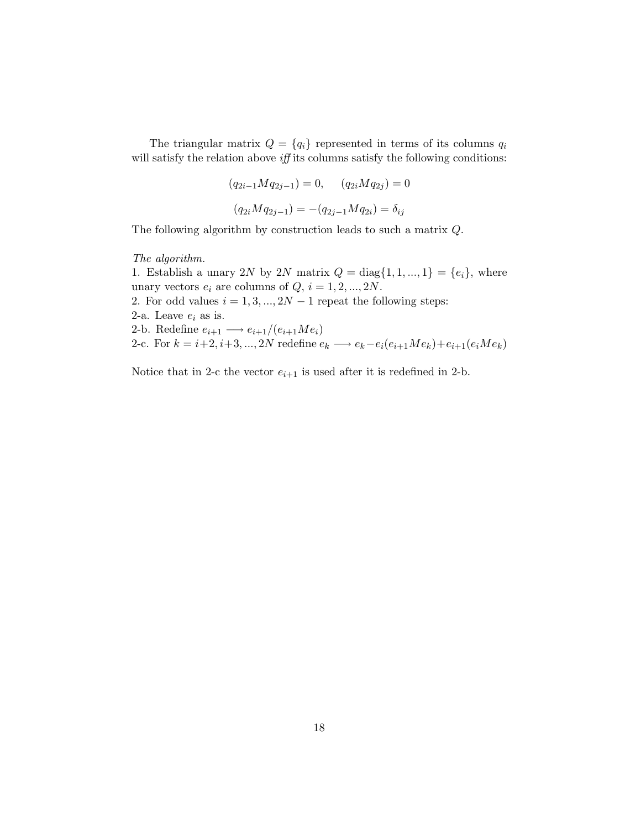The triangular matrix  $Q = \{q_i\}$  represented in terms of its columns  $q_i$ will satisfy the relation above *iff* its columns satisfy the following conditions:

$$
(q_{2i-1}Mq_{2j-1}) = 0, \t (q_{2i}Mq_{2j}) = 0
$$

$$
(q_{2i}Mq_{2j-1}) = -(q_{2j-1}Mq_{2i}) = \delta_{ij}
$$

The following algorithm by construction leads to such a matrix Q.

The algorithm.

1. Establish a unary 2N by 2N matrix  $Q = \text{diag}\{1, 1, ..., 1\} = \{e_i\}$ , where unary vectors  $e_i$  are columns of  $Q, i = 1, 2, ..., 2N$ . 2. For odd values  $i = 1, 3, ..., 2N - 1$  repeat the following steps: 2-a. Leave  $e_i$  as is. 2-b. Redefine  $e_{i+1} \longrightarrow e_{i+1}/(e_{i+1}Me_i)$ 2-c. For  $k = i+2, i+3, \ldots, 2N$  redefine  $e_k \longrightarrow e_k - e_i(e_{i+1}Me_k) + e_{i+1}(e_iMe_k)$ 

Notice that in 2-c the vector  $e_{i+1}$  is used after it is redefined in 2-b.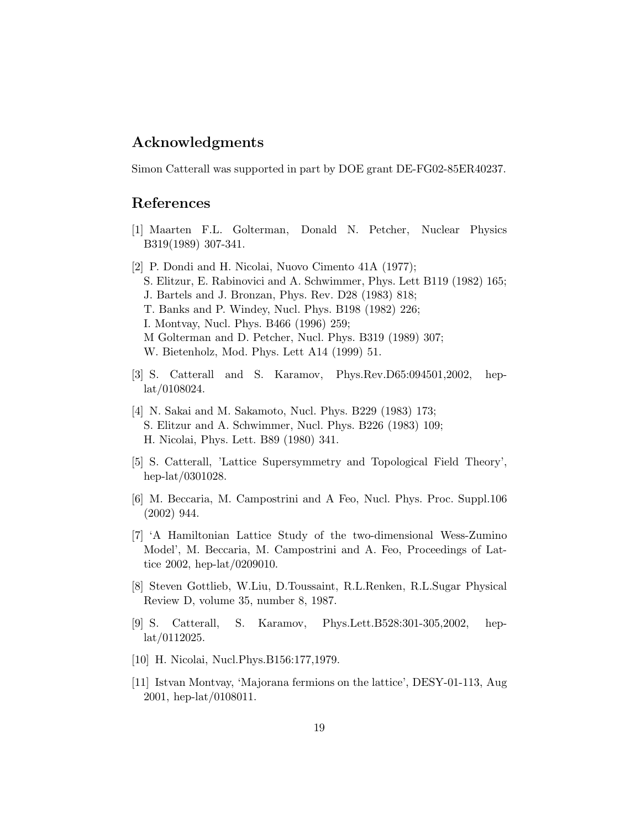#### Acknowledgments

Simon Catterall was supported in part by DOE grant DE-FG02-85ER40237.

#### <span id="page-19-0"></span>References

- <span id="page-19-1"></span>[1] Maarten F.L. Golterman, Donald N. Petcher, Nuclear Physics B319(1989) 307-341.
- [2] P. Dondi and H. Nicolai, Nuovo Cimento 41A (1977); S. Elitzur, E. Rabinovici and A. Schwimmer, Phys. Lett B119 (1982) 165; J. Bartels and J. Bronzan, Phys. Rev. D28 (1983) 818; T. Banks and P. Windey, Nucl. Phys. B198 (1982) 226; I. Montvay, Nucl. Phys. B466 (1996) 259; M Golterman and D. Petcher, Nucl. Phys. B319 (1989) 307; W. Bietenholz, Mod. Phys. Lett A14 (1999) 51.
- <span id="page-19-2"></span>[3] S. Catterall and S. Karamov, Phys.Rev.D65:094501,2002, heplat/0108024.
- <span id="page-19-3"></span>[4] N. Sakai and M. Sakamoto, Nucl. Phys. B229 (1983) 173; S. Elitzur and A. Schwimmer, Nucl. Phys. B226 (1983) 109; H. Nicolai, Phys. Lett. B89 (1980) 341.
- <span id="page-19-5"></span><span id="page-19-4"></span>[5] S. Catterall, 'Lattice Supersymmetry and Topological Field Theory', hep-lat/0301028.
- [6] M. Beccaria, M. Campostrini and A Feo, Nucl. Phys. Proc. Suppl.106 (2002) 944.
- <span id="page-19-6"></span>[7] 'A Hamiltonian Lattice Study of the two-dimensional Wess-Zumino Model', M. Beccaria, M. Campostrini and A. Feo, Proceedings of Lattice 2002, hep-lat/0209010.
- <span id="page-19-7"></span>[8] Steven Gottlieb, W.Liu, D.Toussaint, R.L.Renken, R.L.Sugar Physical Review D, volume 35, number 8, 1987.
- <span id="page-19-8"></span>[9] S. Catterall, S. Karamov, Phys.Lett.B528:301-305,2002, heplat/0112025.
- <span id="page-19-10"></span><span id="page-19-9"></span>[10] H. Nicolai, Nucl.Phys.B156:177,1979.
- [11] Istvan Montvay, 'Majorana fermions on the lattice', DESY-01-113, Aug 2001, hep-lat/0108011.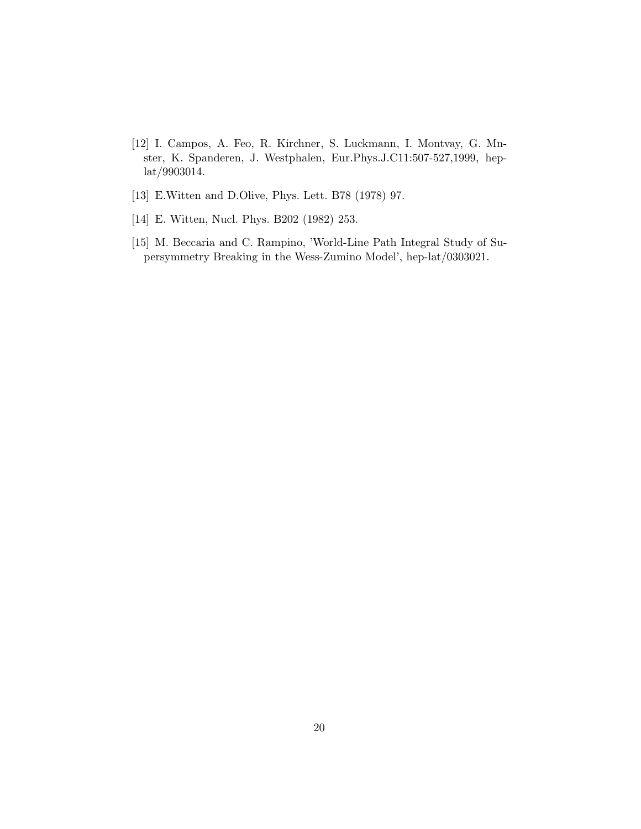- <span id="page-20-0"></span>[12] I. Campos, A. Feo, R. Kirchner, S. Luckmann, I. Montvay, G. Mnster, K. Spanderen, J. Westphalen, Eur.Phys.J.C11:507-527,1999, heplat/9903014.
- <span id="page-20-2"></span><span id="page-20-1"></span>[13] E.Witten and D.Olive, Phys. Lett. B78 (1978) 97.
- <span id="page-20-3"></span>[14] E. Witten, Nucl. Phys. B202 (1982) 253.
- [15] M. Beccaria and C. Rampino, 'World-Line Path Integral Study of Supersymmetry Breaking in the Wess-Zumino Model', hep-lat/0303021.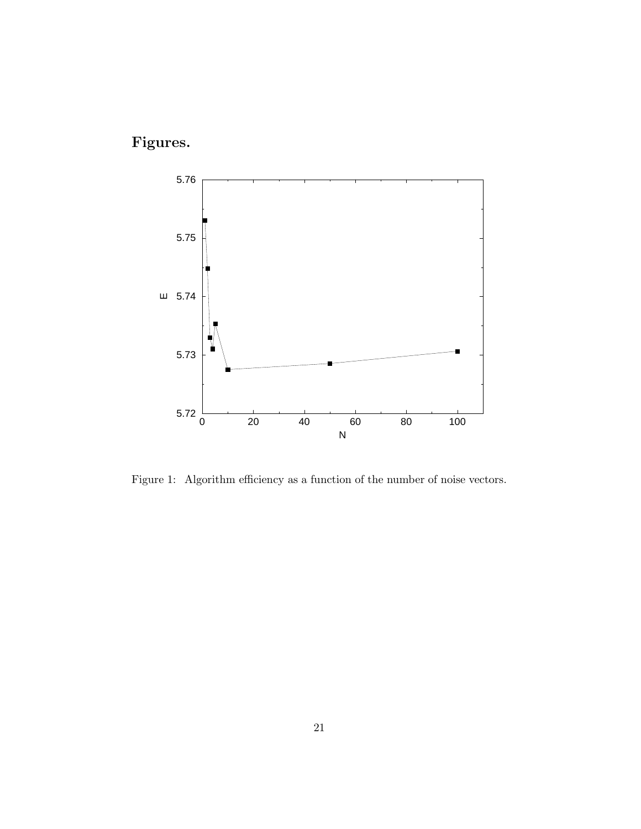Figures.



<span id="page-21-0"></span>Figure 1: Algorithm efficiency as a function of the number of noise vectors.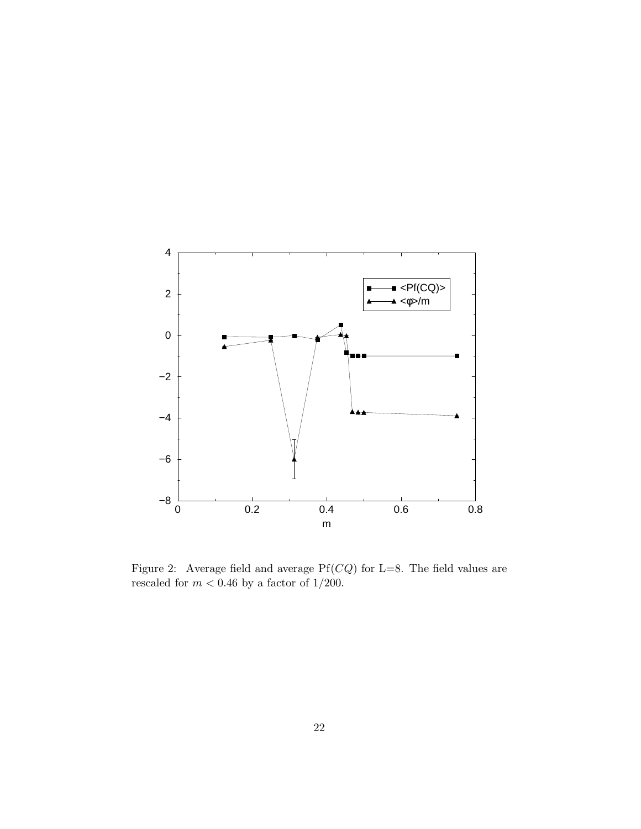

<span id="page-22-0"></span>Figure 2: Average field and average  $Pf(CQ)$  for L=8. The field values are rescaled for  $m < 0.46$  by a factor of  $1/200$ .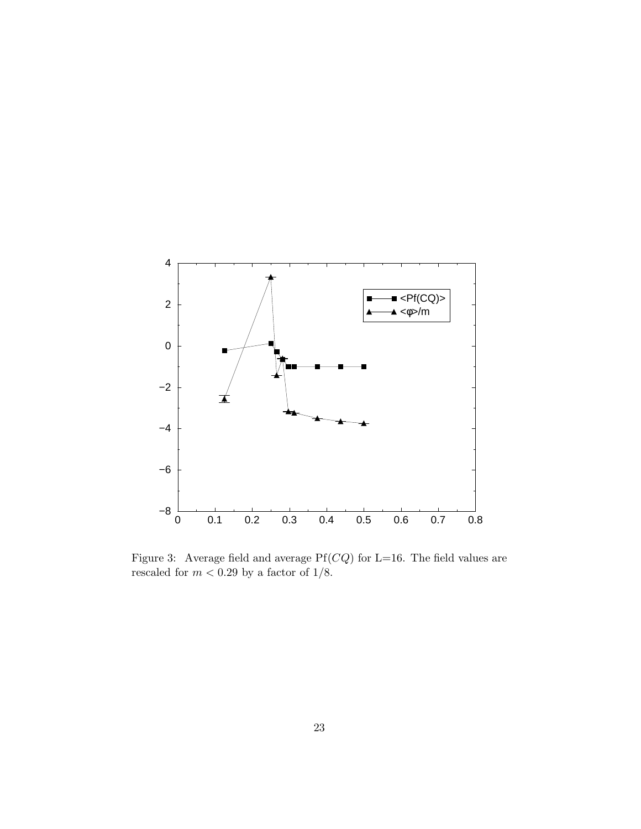

<span id="page-23-0"></span>Figure 3: Average field and average  $Pf(CQ)$  for L=16. The field values are rescaled for  $m<0.29$  by a factor of  $1/8.$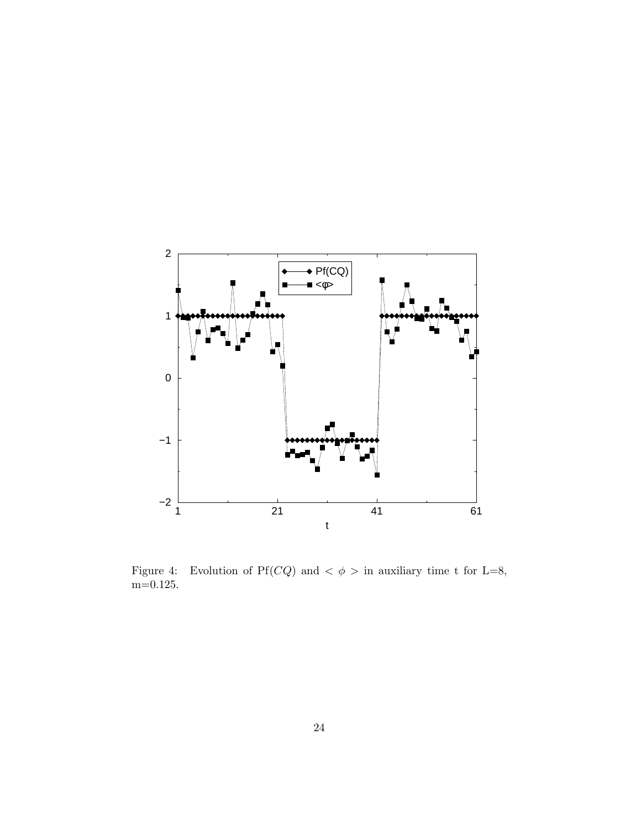

<span id="page-24-0"></span>Figure 4: Evolution of Pf(*CQ*) and  $\lt \phi$  > in auxiliary time t for L=8,  $\mathrm{m}{=}0.125.$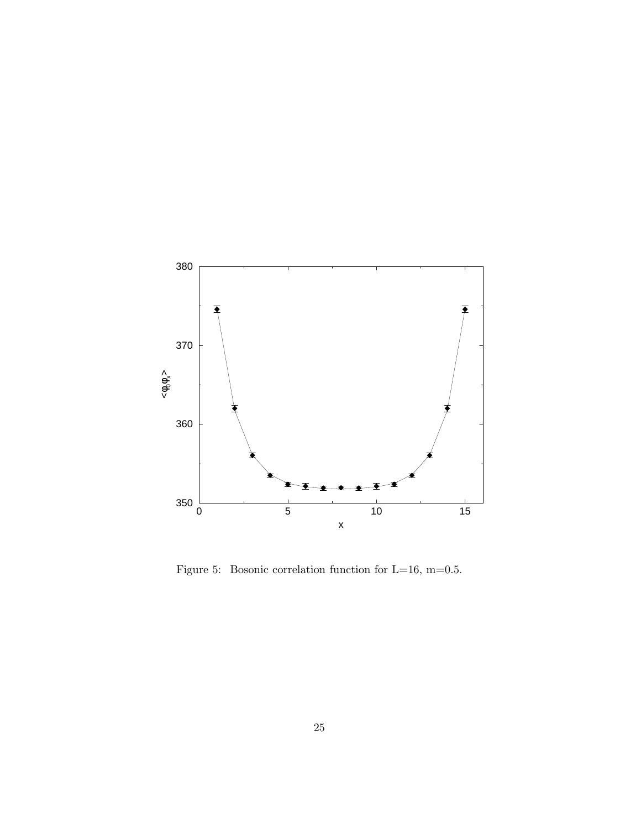

<span id="page-25-0"></span>Figure 5: Bosonic correlation function for L=16, m=0.5.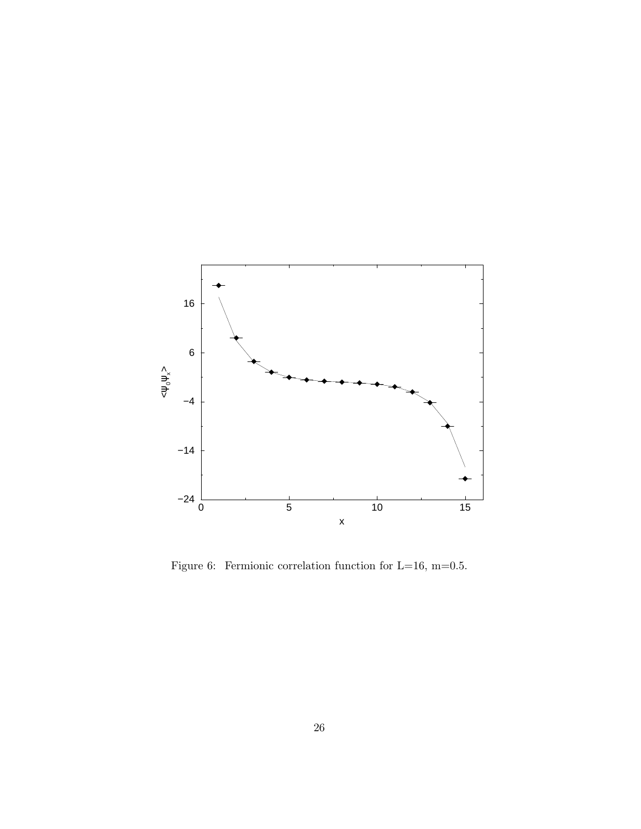

<span id="page-26-0"></span>Figure 6: Fermionic correlation function for L=16, m=0.5.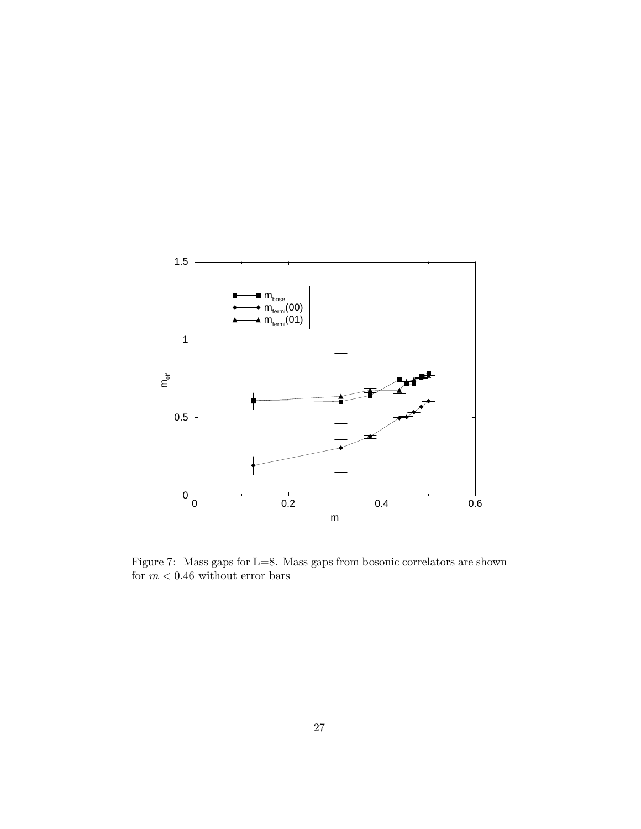

<span id="page-27-0"></span>Figure 7: Mass gaps for L=8. Mass gaps from bosonic correlators are shown for  $m < 0.46$  without error bars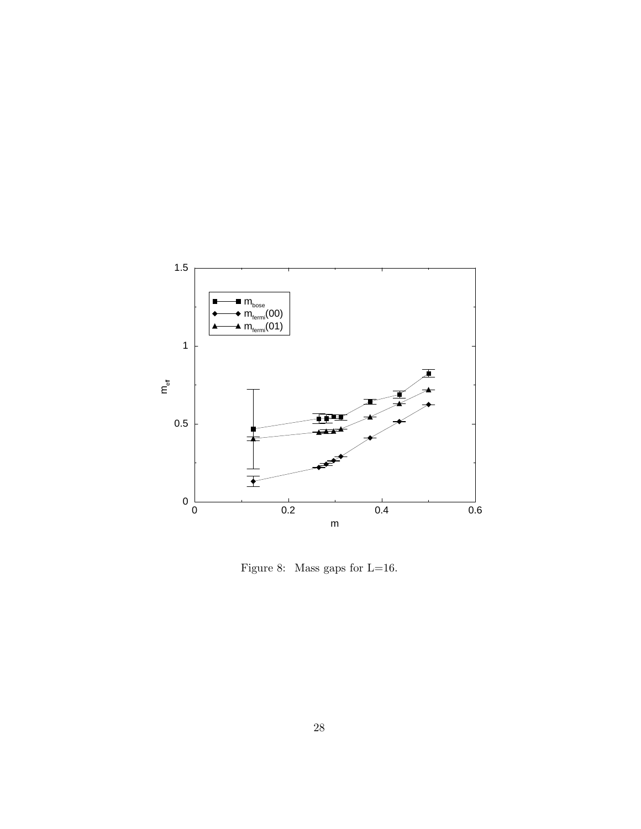

<span id="page-28-0"></span>Figure 8: Mass gaps for L=16.  $\,$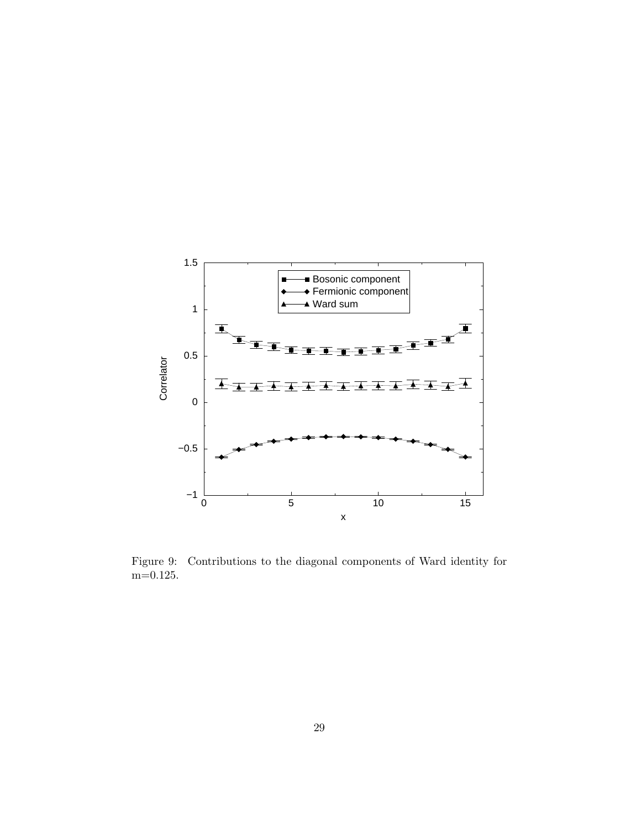

<span id="page-29-0"></span>Figure 9: Contributions to the diagonal components of Ward identity for m=0.125.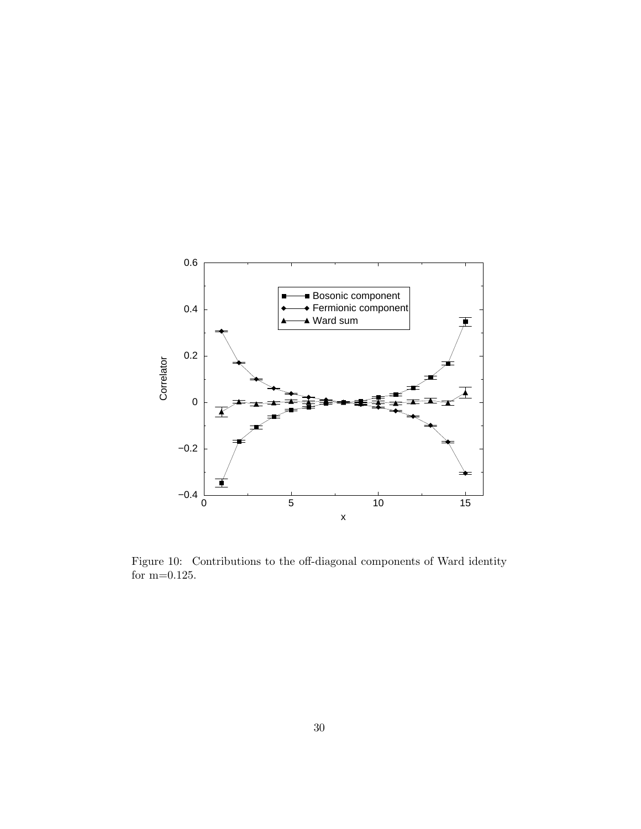

Figure 10: Contributions to the off-diagonal components of Ward identity for m=0.125.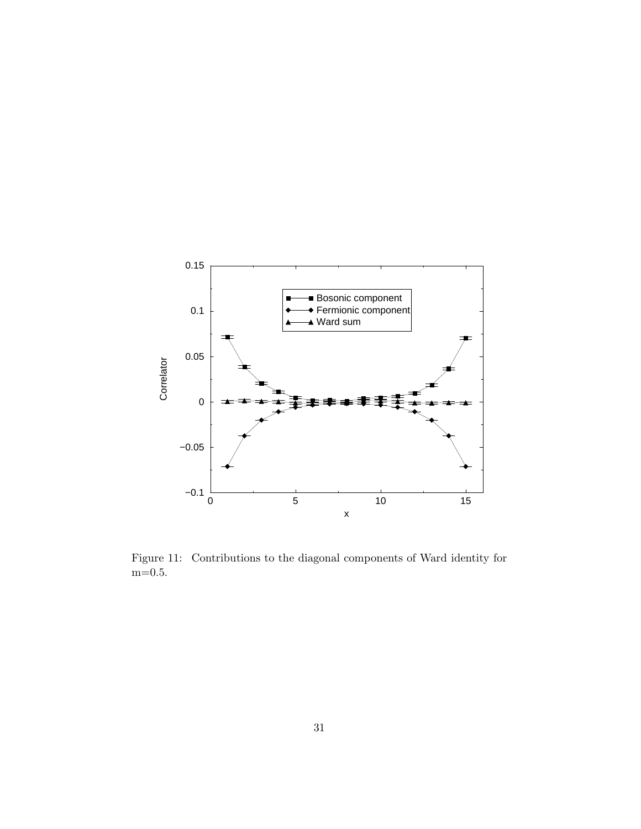

Figure 11: Contributions to the diagonal components of Ward identity for  $\mathrm{m}{=}0.5.$